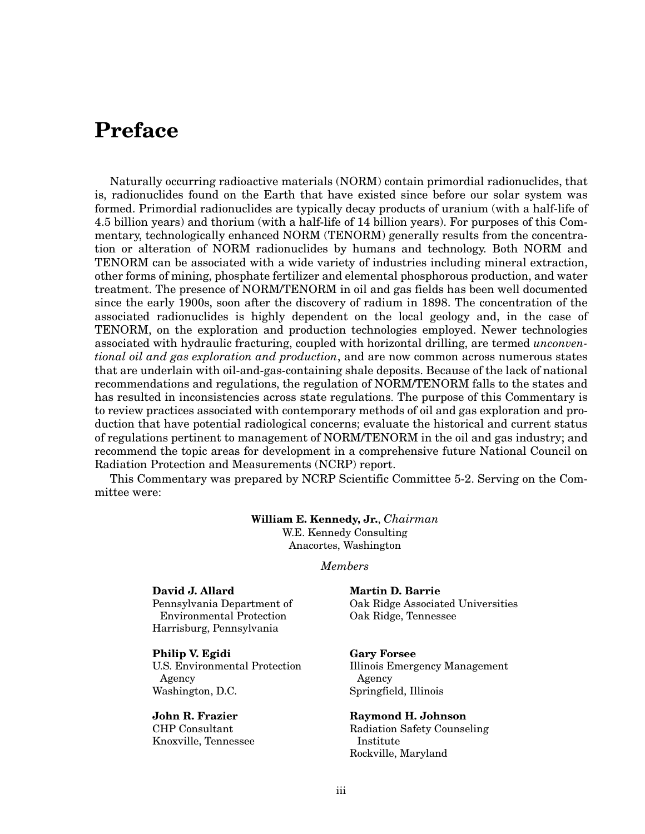## **Preface**

Naturally occurring radioactive materials (NORM) contain primordial radionuclides, that is, radionuclides found on the Earth that have existed since before our solar system was formed. Primordial radionuclides are typically decay products of uranium (with a half-life of 4.5 billion years) and thorium (with a half-life of 14 billion years). For purposes of this Commentary, technologically enhanced NORM (TENORM) generally results from the concentration or alteration of NORM radionuclides by humans and technology. Both NORM and TENORM can be associated with a wide variety of industries including mineral extraction, other forms of mining, phosphate fertilizer and elemental phosphorous production, and water treatment. The presence of NORM/TENORM in oil and gas fields has been well documented since the early 1900s, soon after the discovery of radium in 1898. The concentration of the associated radionuclides is highly dependent on the local geology and, in the case of TENORM, on the exploration and production technologies employed. Newer technologies associated with hydraulic fracturing, coupled with horizontal drilling, are termed *unconventional oil and gas exploration and production*, and are now common across numerous states that are underlain with oil-and-gas-containing shale deposits. Because of the lack of national recommendations and regulations, the regulation of NORM/TENORM falls to the states and has resulted in inconsistencies across state regulations. The purpose of this Commentary is to review practices associated with contemporary methods of oil and gas exploration and production that have potential radiological concerns; evaluate the historical and current status of regulations pertinent to management of NORM/TENORM in the oil and gas industry; and recommend the topic areas for development in a comprehensive future National Council on Radiation Protection and Measurements (NCRP) report.

This Commentary was prepared by NCRP Scientific Committee 5-2. Serving on the Committee were:

## **William E. Kennedy, Jr.**, *Chairman* W.E. Kennedy Consulting

Anacortes, Washington

*Members*

## **David J. Allard**

Pennsylvania Department of Environmental Protection Harrisburg, Pennsylvania

**Philip V. Egidi**

U.S. Environmental Protection Agency Washington, D.C.

**John R. Frazier** CHP Consultant

Knoxville, Tennessee

**Martin D. Barrie** Oak Ridge Associated Universities Oak Ridge, Tennessee

## **Gary Forsee**

Illinois Emergency Management Agency Springfield, Illinois

**Raymond H. Johnson** Radiation Safety Counseling

Institute Rockville, Maryland